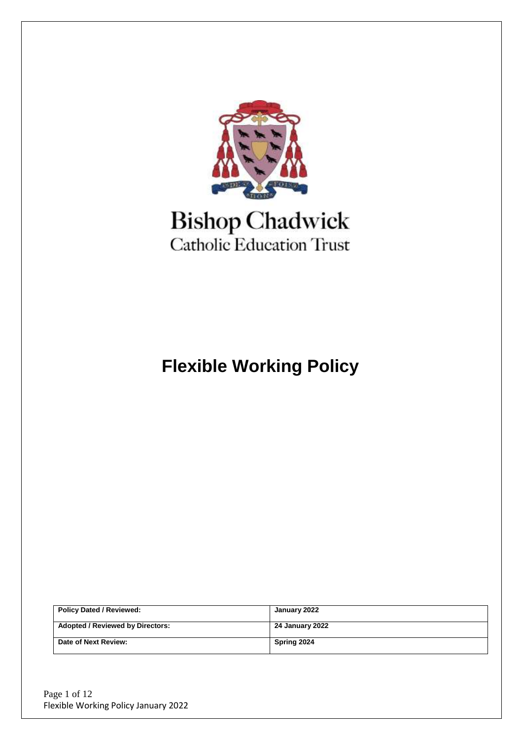

# **Bishop Chadwick**<br>Catholic Education Trust

# **Flexible Working Policy**

| <b>Policy Dated / Reviewed:</b>         | January 2022    |
|-----------------------------------------|-----------------|
| <b>Adopted / Reviewed by Directors:</b> | 24 January 2022 |
| Date of Next Review:                    | Spring 2024     |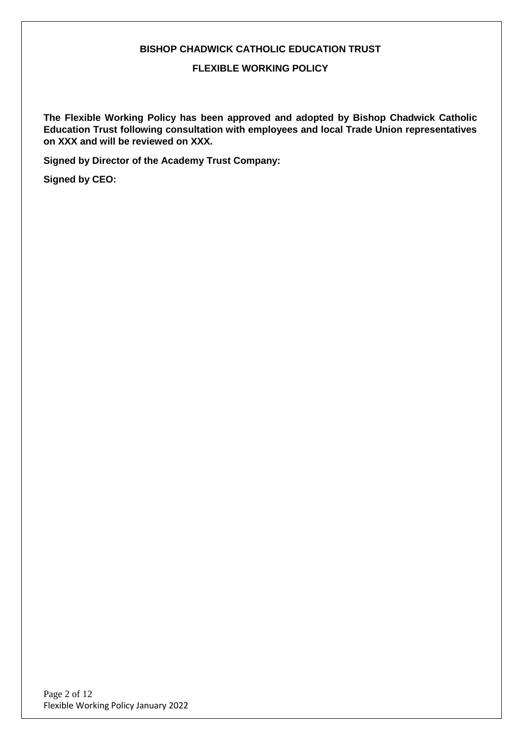#### **BISHOP CHADWICK CATHOLIC EDUCATION TRUST**

**FLEXIBLE WORKING POLICY**

**The Flexible Working Policy has been approved and adopted by Bishop Chadwick Catholic Education Trust following consultation with employees and local Trade Union representatives on XXX and will be reviewed on XXX.**

**Signed by Director of the Academy Trust Company:**

**Signed by CEO:**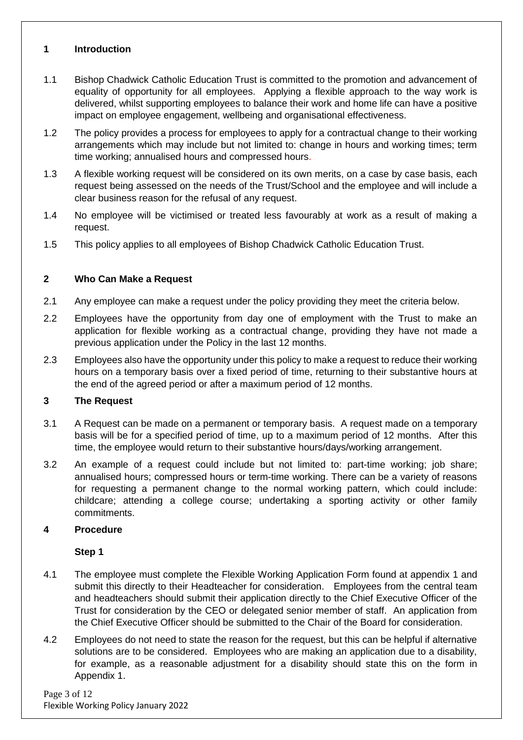#### **1 Introduction**

- 1.1 Bishop Chadwick Catholic Education Trust is committed to the promotion and advancement of equality of opportunity for all employees. Applying a flexible approach to the way work is delivered, whilst supporting employees to balance their work and home life can have a positive impact on employee engagement, wellbeing and organisational effectiveness.
- 1.2 The policy provides a process for employees to apply for a contractual change to their working arrangements which may include but not limited to: change in hours and working times; term time working; annualised hours and compressed hours.
- 1.3 A flexible working request will be considered on its own merits, on a case by case basis, each request being assessed on the needs of the Trust/School and the employee and will include a clear business reason for the refusal of any request.
- 1.4 No employee will be victimised or treated less favourably at work as a result of making a request.
- 1.5 This policy applies to all employees of Bishop Chadwick Catholic Education Trust.

#### **2 Who Can Make a Request**

- 2.1 Any employee can make a request under the policy providing they meet the criteria below.
- 2.2 Employees have the opportunity from day one of employment with the Trust to make an application for flexible working as a contractual change, providing they have not made a previous application under the Policy in the last 12 months.
- 2.3 Employees also have the opportunity under this policy to make a request to reduce their working hours on a temporary basis over a fixed period of time, returning to their substantive hours at the end of the agreed period or after a maximum period of 12 months.

#### **3 The Request**

- 3.1 A Request can be made on a permanent or temporary basis. A request made on a temporary basis will be for a specified period of time, up to a maximum period of 12 months. After this time, the employee would return to their substantive hours/days/working arrangement.
- 3.2 An example of a request could include but not limited to: part-time working; job share; annualised hours; compressed hours or term-time working. There can be a variety of reasons for requesting a permanent change to the normal working pattern, which could include: childcare; attending a college course; undertaking a sporting activity or other family commitments.

#### **4 Procedure**

#### **Step 1**

- 4.1 The employee must complete the Flexible Working Application Form found at appendix 1 and submit this directly to their Headteacher for consideration. Employees from the central team and headteachers should submit their application directly to the Chief Executive Officer of the Trust for consideration by the CEO or delegated senior member of staff. An application from the Chief Executive Officer should be submitted to the Chair of the Board for consideration.
- 4.2 Employees do not need to state the reason for the request, but this can be helpful if alternative solutions are to be considered. Employees who are making an application due to a disability, for example, as a reasonable adjustment for a disability should state this on the form in Appendix 1.

Page 3 of 12 Flexible Working Policy January 2022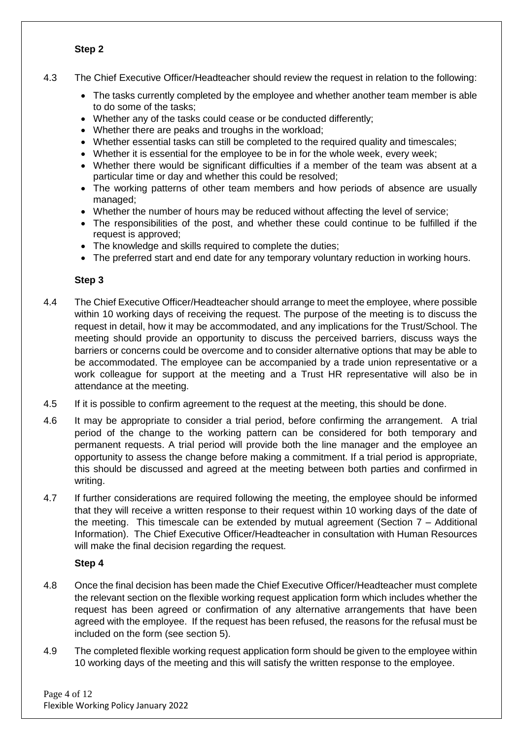#### **Step 2**

- 4.3 The Chief Executive Officer/Headteacher should review the request in relation to the following:
	- The tasks currently completed by the employee and whether another team member is able to do some of the tasks;
	- Whether any of the tasks could cease or be conducted differently;
	- Whether there are peaks and troughs in the workload;
	- Whether essential tasks can still be completed to the required quality and timescales;
	- Whether it is essential for the employee to be in for the whole week, every week;
	- Whether there would be significant difficulties if a member of the team was absent at a particular time or day and whether this could be resolved;
	- The working patterns of other team members and how periods of absence are usually managed;
	- Whether the number of hours may be reduced without affecting the level of service;
	- The responsibilities of the post, and whether these could continue to be fulfilled if the request is approved;
	- The knowledge and skills required to complete the duties;
	- The preferred start and end date for any temporary voluntary reduction in working hours.

#### **Step 3**

- 4.4 The Chief Executive Officer/Headteacher should arrange to meet the employee, where possible within 10 working days of receiving the request. The purpose of the meeting is to discuss the request in detail, how it may be accommodated, and any implications for the Trust/School. The meeting should provide an opportunity to discuss the perceived barriers, discuss ways the barriers or concerns could be overcome and to consider alternative options that may be able to be accommodated. The employee can be accompanied by a trade union representative or a work colleague for support at the meeting and a Trust HR representative will also be in attendance at the meeting.
- 4.5 If it is possible to confirm agreement to the request at the meeting, this should be done.
- 4.6 It may be appropriate to consider a trial period, before confirming the arrangement. A trial period of the change to the working pattern can be considered for both temporary and permanent requests. A trial period will provide both the line manager and the employee an opportunity to assess the change before making a commitment. If a trial period is appropriate, this should be discussed and agreed at the meeting between both parties and confirmed in writing.
- 4.7 If further considerations are required following the meeting, the employee should be informed that they will receive a written response to their request within 10 working days of the date of the meeting. This timescale can be extended by mutual agreement (Section  $7 -$  Additional Information). The Chief Executive Officer/Headteacher in consultation with Human Resources will make the final decision regarding the request.

#### **Step 4**

- 4.8 Once the final decision has been made the Chief Executive Officer/Headteacher must complete the relevant section on the flexible working request application form which includes whether the request has been agreed or confirmation of any alternative arrangements that have been agreed with the employee. If the request has been refused, the reasons for the refusal must be included on the form (see section 5).
- 4.9 The completed flexible working request application form should be given to the employee within 10 working days of the meeting and this will satisfy the written response to the employee.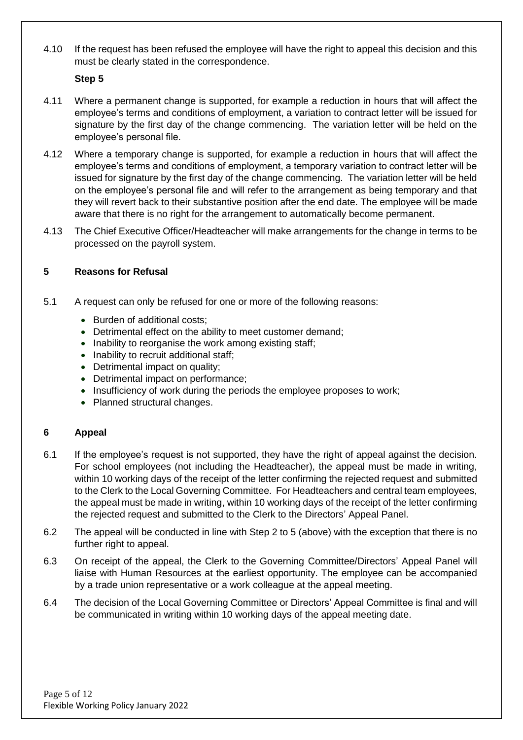4.10 If the request has been refused the employee will have the right to appeal this decision and this must be clearly stated in the correspondence.

#### **Step 5**

- 4.11 Where a permanent change is supported, for example a reduction in hours that will affect the employee's terms and conditions of employment, a variation to contract letter will be issued for signature by the first day of the change commencing. The variation letter will be held on the employee's personal file.
- 4.12 Where a temporary change is supported, for example a reduction in hours that will affect the employee's terms and conditions of employment, a temporary variation to contract letter will be issued for signature by the first day of the change commencing. The variation letter will be held on the employee's personal file and will refer to the arrangement as being temporary and that they will revert back to their substantive position after the end date. The employee will be made aware that there is no right for the arrangement to automatically become permanent.
- 4.13 The Chief Executive Officer/Headteacher will make arrangements for the change in terms to be processed on the payroll system.

#### **5 Reasons for Refusal**

- 5.1 A request can only be refused for one or more of the following reasons:
	- Burden of additional costs;
	- Detrimental effect on the ability to meet customer demand;
	- Inability to reorganise the work among existing staff;
	- Inability to recruit additional staff;
	- Detrimental impact on quality;
	- Detrimental impact on performance;
	- Insufficiency of work during the periods the employee proposes to work;
	- Planned structural changes.

#### **6 Appeal**

- 6.1 If the employee's request is not supported, they have the right of appeal against the decision. For school employees (not including the Headteacher), the appeal must be made in writing, within 10 working days of the receipt of the letter confirming the rejected request and submitted to the Clerk to the Local Governing Committee. For Headteachers and central team employees, the appeal must be made in writing, within 10 working days of the receipt of the letter confirming the rejected request and submitted to the Clerk to the Directors' Appeal Panel.
- 6.2 The appeal will be conducted in line with Step 2 to 5 (above) with the exception that there is no further right to appeal.
- 6.3 On receipt of the appeal, the Clerk to the Governing Committee/Directors' Appeal Panel will liaise with Human Resources at the earliest opportunity. The employee can be accompanied by a trade union representative or a work colleague at the appeal meeting.
- 6.4 The decision of the Local Governing Committee or Directors' Appeal Committee is final and will be communicated in writing within 10 working days of the appeal meeting date.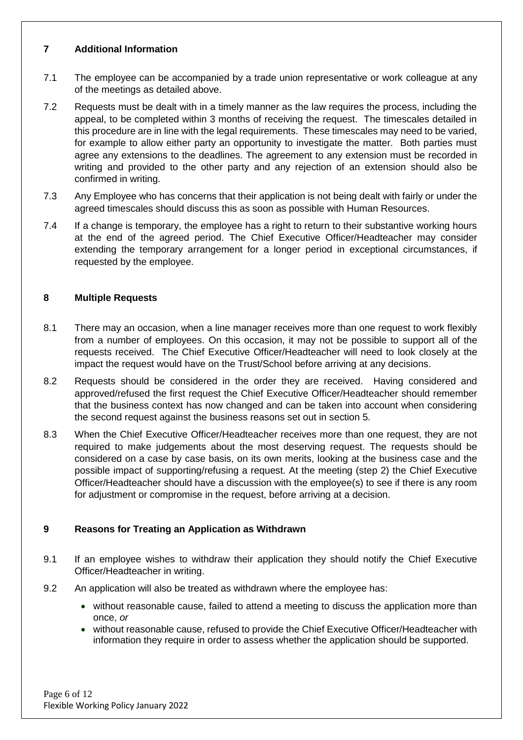#### **7 Additional Information**

- 7.1 The employee can be accompanied by a trade union representative or work colleague at any of the meetings as detailed above.
- 7.2 Requests must be dealt with in a timely manner as the law requires the process, including the appeal, to be completed within 3 months of receiving the request. The timescales detailed in this procedure are in line with the legal requirements. These timescales may need to be varied, for example to allow either party an opportunity to investigate the matter. Both parties must agree any extensions to the deadlines. The agreement to any extension must be recorded in writing and provided to the other party and any rejection of an extension should also be confirmed in writing.
- 7.3 Any Employee who has concerns that their application is not being dealt with fairly or under the agreed timescales should discuss this as soon as possible with Human Resources.
- 7.4 If a change is temporary, the employee has a right to return to their substantive working hours at the end of the agreed period. The Chief Executive Officer/Headteacher may consider extending the temporary arrangement for a longer period in exceptional circumstances, if requested by the employee.

#### **8 Multiple Requests**

- 8.1 There may an occasion, when a line manager receives more than one request to work flexibly from a number of employees. On this occasion, it may not be possible to support all of the requests received. The Chief Executive Officer/Headteacher will need to look closely at the impact the request would have on the Trust/School before arriving at any decisions.
- 8.2 Requests should be considered in the order they are received. Having considered and approved/refused the first request the Chief Executive Officer/Headteacher should remember that the business context has now changed and can be taken into account when considering the second request against the business reasons set out in section 5.
- 8.3 When the Chief Executive Officer/Headteacher receives more than one request, they are not required to make judgements about the most deserving request. The requests should be considered on a case by case basis, on its own merits, looking at the business case and the possible impact of supporting/refusing a request. At the meeting (step 2) the Chief Executive Officer/Headteacher should have a discussion with the employee(s) to see if there is any room for adjustment or compromise in the request, before arriving at a decision.

#### **9 Reasons for Treating an Application as Withdrawn**

- 9.1 If an employee wishes to withdraw their application they should notify the Chief Executive Officer/Headteacher in writing.
- 9.2 An application will also be treated as withdrawn where the employee has:
	- without reasonable cause, failed to attend a meeting to discuss the application more than once, *or*
	- without reasonable cause, refused to provide the Chief Executive Officer/Headteacher with information they require in order to assess whether the application should be supported.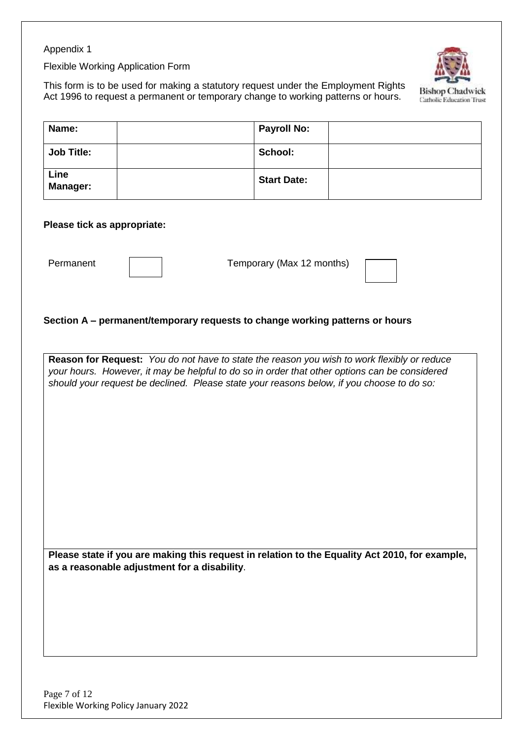#### Appendix 1

Flexible Working Application Form

This form is to be used for making a statutory request under the Employment Rights Act 1996 to request a permanent or temporary change to working patterns or hours.



**Name:**  $\vert$  **Payroll No: Job Title:**  $\qquad$  | School: **Line Manager: Start Date:**

#### **Please tick as appropriate:**

Permanent | | | Temporary (Max 12 months)

#### **Section A – permanent/temporary requests to change working patterns or hours**

**Reason for Request:** *You do not have to state the reason you wish to work flexibly or reduce your hours. However, it may be helpful to do so in order that other options can be considered should your request be declined. Please state your reasons below, if you choose to do so:* 

**Please state if you are making this request in relation to the Equality Act 2010, for example, as a reasonable adjustment for a disability**.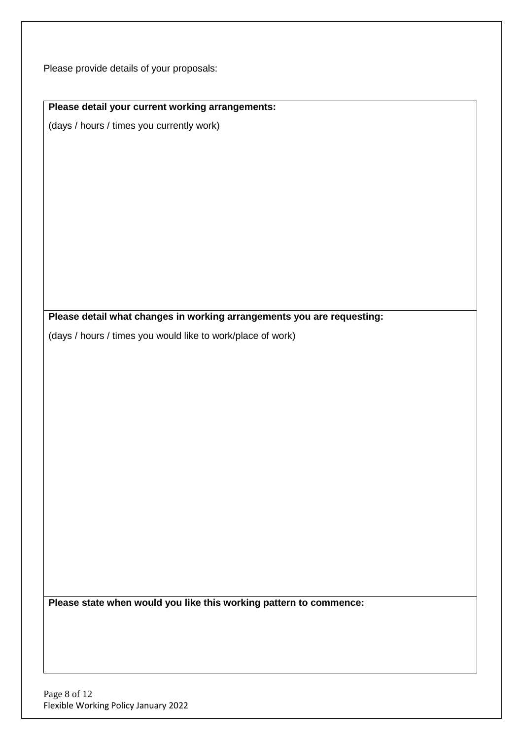Please provide details of your proposals:

# **Please detail your current working arrangements:**

(days / hours / times you currently work)

**Please detail what changes in working arrangements you are requesting:**

(days / hours / times you would like to work/place of work)

**Please state when would you like this working pattern to commence:**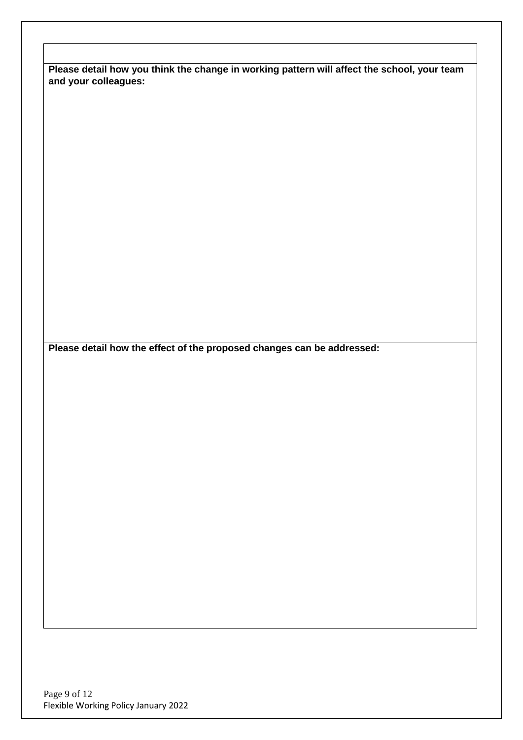**Please detail how you think the change in working pattern will affect the school, your team and your colleagues:**

**Please detail how the effect of the proposed changes can be addressed:**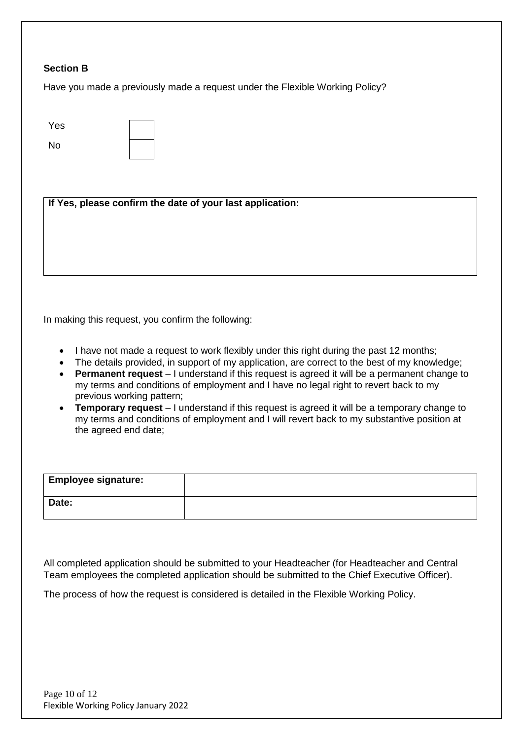#### **Section B**

Have you made a previously made a request under the Flexible Working Policy?

| Yes |  |
|-----|--|
| No  |  |

**If Yes, please confirm the date of your last application:**

In making this request, you confirm the following:

- I have not made a request to work flexibly under this right during the past 12 months;
- The details provided, in support of my application, are correct to the best of my knowledge;
- **Permanent request** I understand if this request is agreed it will be a permanent change to my terms and conditions of employment and I have no legal right to revert back to my previous working pattern;
- **Temporary request** I understand if this request is agreed it will be a temporary change to my terms and conditions of employment and I will revert back to my substantive position at the agreed end date;

| <b>Employee signature:</b> |  |
|----------------------------|--|
| Date:                      |  |

All completed application should be submitted to your Headteacher (for Headteacher and Central Team employees the completed application should be submitted to the Chief Executive Officer).

The process of how the request is considered is detailed in the Flexible Working Policy.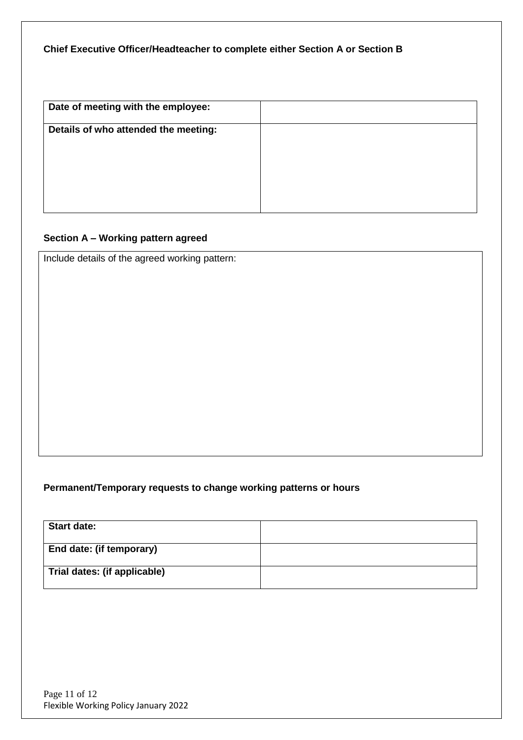# **Chief Executive Officer/Headteacher to complete either Section A or Section B**

| Date of meeting with the employee:   |  |
|--------------------------------------|--|
| Details of who attended the meeting: |  |
|                                      |  |
|                                      |  |
|                                      |  |

# **Section A – Working pattern agreed**

Include details of the agreed working pattern:

# **Permanent/Temporary requests to change working patterns or hours**

| <b>Start date:</b>           |  |
|------------------------------|--|
| End date: (if temporary)     |  |
| Trial dates: (if applicable) |  |